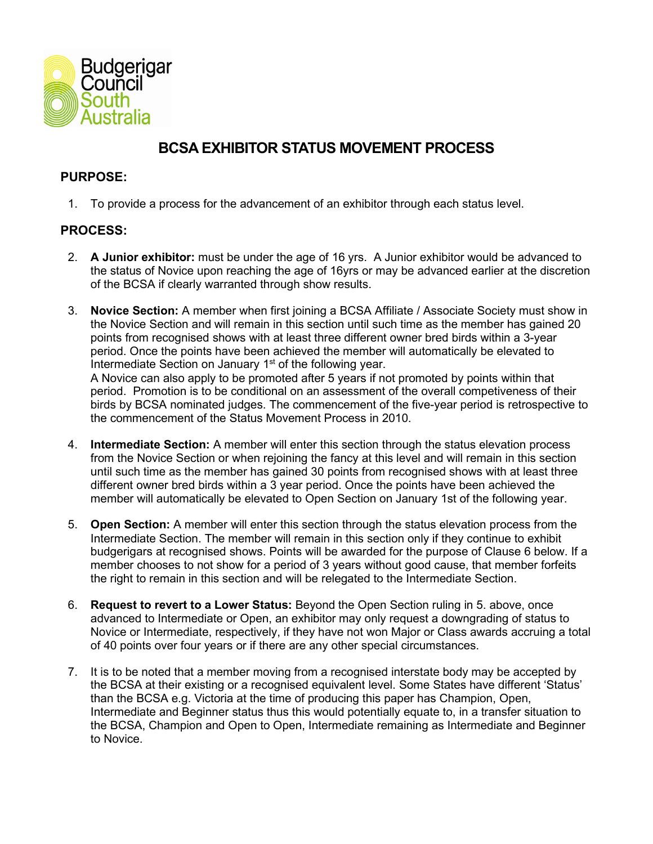

# **BCSA EXHIBITOR STATUS MOVEMENT PROCESS**

# **PURPOSE:**

1. To provide a process for the advancement of an exhibitor through each status level.

# **PROCESS:**

- 2. **A Junior exhibitor:** must be under the age of 16 yrs. A Junior exhibitor would be advanced to the status of Novice upon reaching the age of 16yrs or may be advanced earlier at the discretion of the BCSA if clearly warranted through show results.
- 3. **Novice Section:** A member when first joining a BCSA Affiliate / Associate Society must show in the Novice Section and will remain in this section until such time as the member has gained 20 points from recognised shows with at least three different owner bred birds within a 3-year period. Once the points have been achieved the member will automatically be elevated to Intermediate Section on January 1<sup>st</sup> of the following year. A Novice can also apply to be promoted after 5 years if not promoted by points within that

period. Promotion is to be conditional on an assessment of the overall competiveness of their birds by BCSA nominated judges. The commencement of the five-year period is retrospective to the commencement of the Status Movement Process in 2010.

- 4. **Intermediate Section:** A member will enter this section through the status elevation process from the Novice Section or when rejoining the fancy at this level and will remain in this section until such time as the member has gained 30 points from recognised shows with at least three different owner bred birds within a 3 year period. Once the points have been achieved the member will automatically be elevated to Open Section on January 1st of the following year.
- 5. **Open Section:** A member will enter this section through the status elevation process from the Intermediate Section. The member will remain in this section only if they continue to exhibit budgerigars at recognised shows. Points will be awarded for the purpose of Clause 6 below. If a member chooses to not show for a period of 3 years without good cause, that member forfeits the right to remain in this section and will be relegated to the Intermediate Section.
- 6. **Request to revert to a Lower Status:** Beyond the Open Section ruling in 5. above, once advanced to Intermediate or Open, an exhibitor may only request a downgrading of status to Novice or Intermediate, respectively, if they have not won Major or Class awards accruing a total of 40 points over four years or if there are any other special circumstances.
- 7. It is to be noted that a member moving from a recognised interstate body may be accepted by the BCSA at their existing or a recognised equivalent level. Some States have different 'Status' than the BCSA e.g. Victoria at the time of producing this paper has Champion, Open, Intermediate and Beginner status thus this would potentially equate to, in a transfer situation to the BCSA, Champion and Open to Open, Intermediate remaining as Intermediate and Beginner to Novice.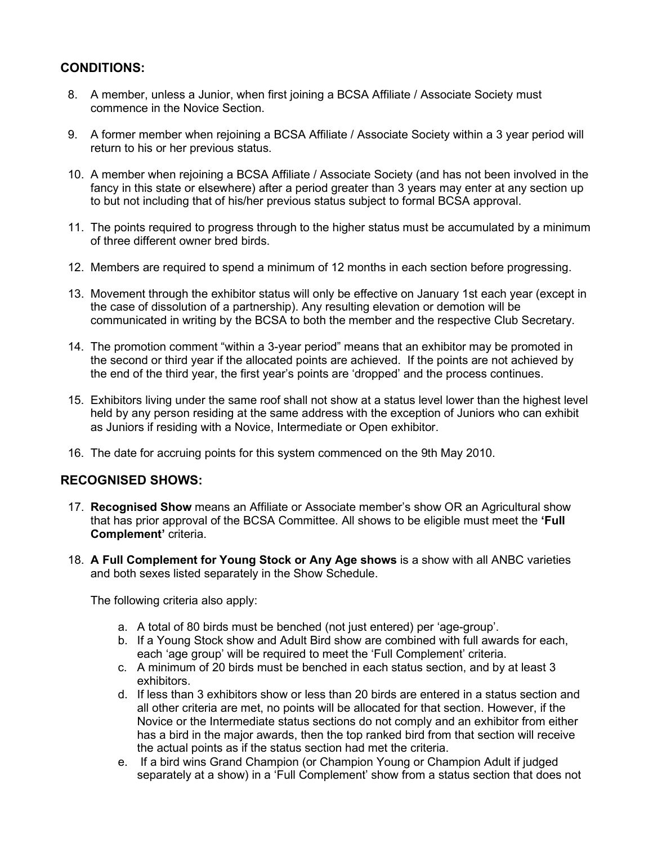### **CONDITIONS:**

- 8. A member, unless a Junior, when first joining a BCSA Affiliate / Associate Society must commence in the Novice Section.
- 9. A former member when rejoining a BCSA Affiliate / Associate Society within a 3 year period will return to his or her previous status.
- 10. A member when rejoining a BCSA Affiliate / Associate Society (and has not been involved in the fancy in this state or elsewhere) after a period greater than 3 years may enter at any section up to but not including that of his/her previous status subject to formal BCSA approval.
- 11. The points required to progress through to the higher status must be accumulated by a minimum of three different owner bred birds.
- 12. Members are required to spend a minimum of 12 months in each section before progressing.
- 13. Movement through the exhibitor status will only be effective on January 1st each year (except in the case of dissolution of a partnership). Any resulting elevation or demotion will be communicated in writing by the BCSA to both the member and the respective Club Secretary.
- 14. The promotion comment "within a 3-year period" means that an exhibitor may be promoted in the second or third year if the allocated points are achieved. If the points are not achieved by the end of the third year, the first year's points are 'dropped' and the process continues.
- 15. Exhibitors living under the same roof shall not show at a status level lower than the highest level held by any person residing at the same address with the exception of Juniors who can exhibit as Juniors if residing with a Novice, Intermediate or Open exhibitor.
- 16. The date for accruing points for this system commenced on the 9th May 2010.

#### **RECOGNISED SHOWS:**

- 17. **Recognised Show** means an Affiliate or Associate member's show OR an Agricultural show that has prior approval of the BCSA Committee. All shows to be eligible must meet the **'Full Complement'** criteria.
- 18. **A Full Complement for Young Stock or Any Age shows** is a show with all ANBC varieties and both sexes listed separately in the Show Schedule.

The following criteria also apply:

- a. A total of 80 birds must be benched (not just entered) per 'age-group'.
- b. If a Young Stock show and Adult Bird show are combined with full awards for each, each 'age group' will be required to meet the 'Full Complement' criteria.
- c. A minimum of 20 birds must be benched in each status section, and by at least 3 exhibitors.
- d. If less than 3 exhibitors show or less than 20 birds are entered in a status section and all other criteria are met, no points will be allocated for that section. However, if the Novice or the Intermediate status sections do not comply and an exhibitor from either has a bird in the major awards, then the top ranked bird from that section will receive the actual points as if the status section had met the criteria.
- e. If a bird wins Grand Champion (or Champion Young or Champion Adult if judged separately at a show) in a 'Full Complement' show from a status section that does not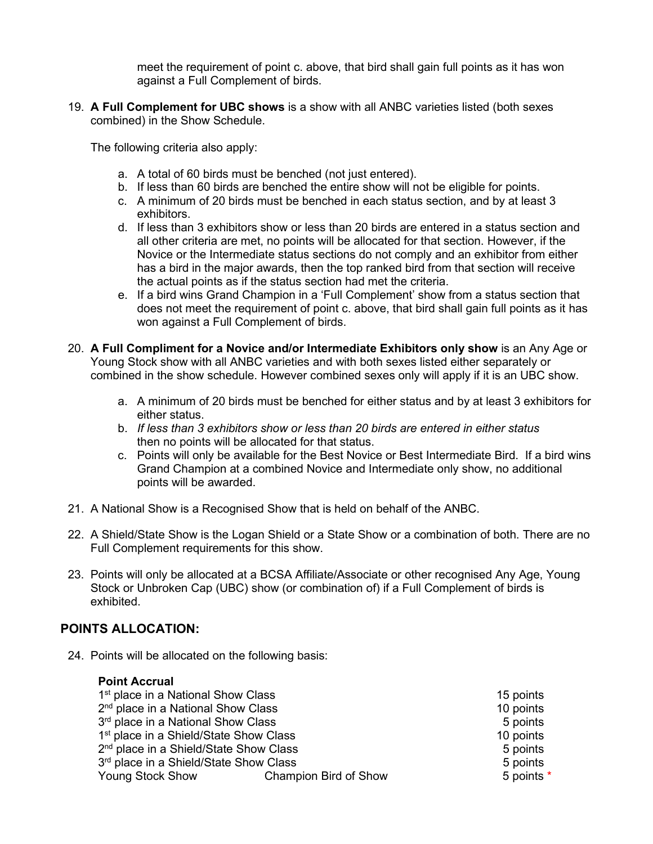meet the requirement of point c. above, that bird shall gain full points as it has won against a Full Complement of birds.

19. **A Full Complement for UBC shows** is a show with all ANBC varieties listed (both sexes combined) in the Show Schedule.

The following criteria also apply:

- a. A total of 60 birds must be benched (not just entered).
- b. If less than 60 birds are benched the entire show will not be eligible for points.
- c. A minimum of 20 birds must be benched in each status section, and by at least 3 exhibitors.
- d. If less than 3 exhibitors show or less than 20 birds are entered in a status section and all other criteria are met, no points will be allocated for that section. However, if the Novice or the Intermediate status sections do not comply and an exhibitor from either has a bird in the major awards, then the top ranked bird from that section will receive the actual points as if the status section had met the criteria.
- e. If a bird wins Grand Champion in a 'Full Complement' show from a status section that does not meet the requirement of point c. above, that bird shall gain full points as it has won against a Full Complement of birds.
- 20. **A Full Compliment for a Novice and/or Intermediate Exhibitors only show** is an Any Age or Young Stock show with all ANBC varieties and with both sexes listed either separately or combined in the show schedule. However combined sexes only will apply if it is an UBC show.
	- a. A minimum of 20 birds must be benched for either status and by at least 3 exhibitors for either status.
	- b. *If less than 3 exhibitors show or less than 20 birds are entered in either status* then no points will be allocated for that status.
	- c. Points will only be available for the Best Novice or Best Intermediate Bird. If a bird wins Grand Champion at a combined Novice and Intermediate only show, no additional points will be awarded.
- 21. A National Show is a Recognised Show that is held on behalf of the ANBC.
- 22. A Shield/State Show is the Logan Shield or a State Show or a combination of both. There are no Full Complement requirements for this show.
- 23. Points will only be allocated at a BCSA Affiliate/Associate or other recognised Any Age, Young Stock or Unbroken Cap (UBC) show (or combination of) if a Full Complement of birds is exhibited.

# **POINTS ALLOCATION:**

24. Points will be allocated on the following basis:

#### **Point Accrual**

1st place in a National Show Class 15 points 15 points  $2<sup>nd</sup>$  place in a National Show Class 10 points 10 points  $3<sup>rd</sup>$  place in a National Show Class 5 points 5 points 5 points 5 points 10 points 3 points  $10$  points 1<sup>st</sup> place in a Shield/State Show Class  $2<sup>nd</sup>$  place in a Shield/State Show Class  $5$  points  $5$  points  $3<sup>rd</sup>$  place in a Shield/State Show Class  $5$  points Young Stock Show Champion Bird of Show 5 points \*